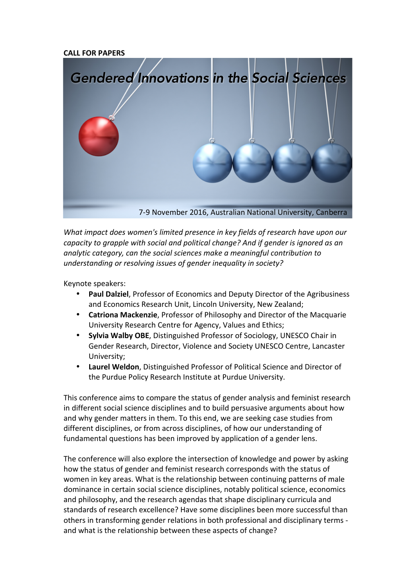## **CALL FOR PAPERS**



*What impact does women's limited presence in key fields of research have upon our capacity* to grapple with social and political change? And if gender is ignored as an analytic category, can the social sciences make a meaningful contribution to *understanding* or resolving issues of gender inequality in society?

Keynote speakers: 

- **Paul Dalziel**, Professor of Economics and Deputy Director of the Agribusiness and Economics Research Unit, Lincoln University, New Zealand;
- **Catriona Mackenzie**, Professor of Philosophy and Director of the Macquarie University Research Centre for Agency, Values and Ethics;
- **Sylvia Walby OBE**, Distinguished Professor of Sociology, UNESCO Chair in Gender Research, Director, Violence and Society UNESCO Centre, Lancaster University;
- Laurel Weldon, Distinguished Professor of Political Science and Director of the Purdue Policy Research Institute at Purdue University.

This conference aims to compare the status of gender analysis and feminist research in different social science disciplines and to build persuasive arguments about how and why gender matters in them. To this end, we are seeking case studies from different disciplines, or from across disciplines, of how our understanding of fundamental questions has been improved by application of a gender lens.

The conference will also explore the intersection of knowledge and power by asking how the status of gender and feminist research corresponds with the status of women in key areas. What is the relationship between continuing patterns of male dominance in certain social science disciplines, notably political science, economics and philosophy, and the research agendas that shape disciplinary curricula and standards of research excellence? Have some disciplines been more successful than others in transforming gender relations in both professional and disciplinary terms and what is the relationship between these aspects of change?